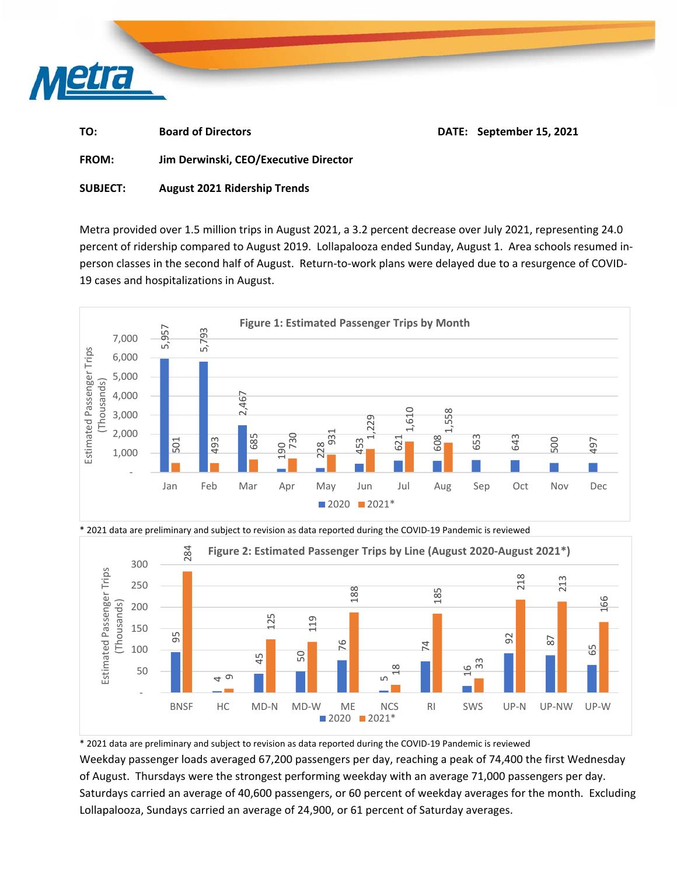

| TO:<br><b>Board of Directors</b> |  | DATE: September 15, 2021 |
|----------------------------------|--|--------------------------|
|----------------------------------|--|--------------------------|

**FROM: Jim Derwinski, CEO/Executive Director** 

## **SUBJECT: August 2021 Ridership Trends**

Metra provided over 1.5 million trips in August 2021, a 3.2 percent decrease over July 2021, representing 24.0 percent of ridership compared to August 2019. Lollapalooza ended Sunday, August 1. Area schools resumed in‐ person classes in the second half of August. Return‐to‐work plans were delayed due to a resurgence of COVID‐ 19 cases and hospitalizations in August.





\* 2021 data are preliminary and subject to revision as data reported during the COVID‐19 Pandemic is reviewed

\* 2021 data are preliminary and subject to revision as data reported during the COVID‐19 Pandemic is reviewed

Weekday passenger loads averaged 67,200 passengers per day, reaching a peak of 74,400 the first Wednesday of August. Thursdays were the strongest performing weekday with an average 71,000 passengers per day. Saturdays carried an average of 40,600 passengers, or 60 percent of weekday averages for the month. Excluding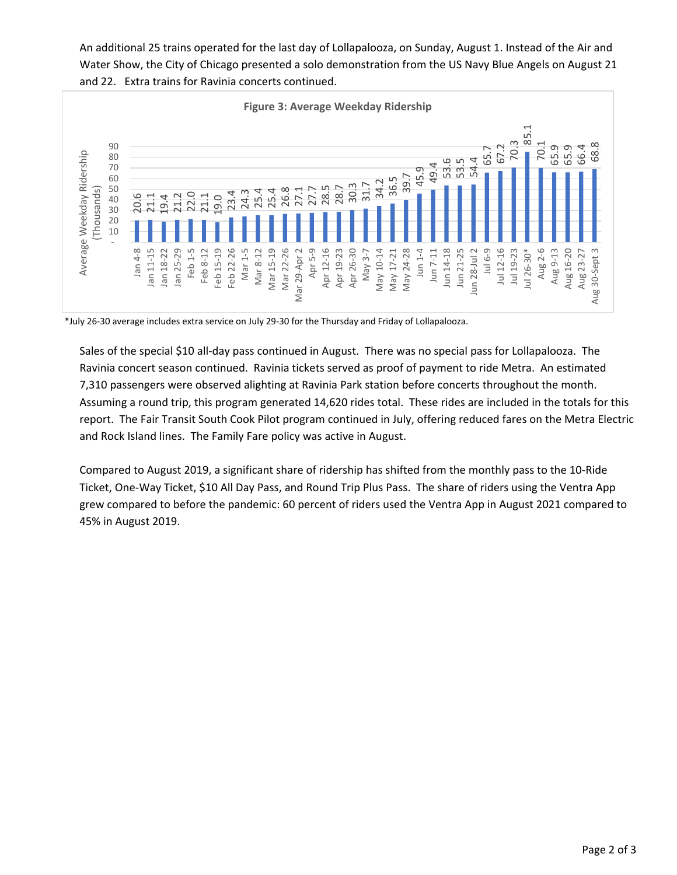An additional 25 trains operated for the last day of Lollapalooza, on Sunday, August 1. Instead of the Air and Water Show, the City of Chicago presented a solo demonstration from the US Navy Blue Angels on August 21 and 22. Extra trains for Ravinia concerts continued.



\*July 26‐30 average includes extra service on July 29‐30 for the Thursday and Friday of Lollapalooza.

Sales of the special \$10 all‐day pass continued in August. There was no special pass for Lollapalooza. The Ravinia concert season continued. Ravinia tickets served as proof of payment to ride Metra. An estimated 7,310 passengers were observed alighting at Ravinia Park station before concerts throughout the month. Assuming a round trip, this program generated 14,620 rides total. These rides are included in the totals for this report. The Fair Transit South Cook Pilot program continued in July, offering reduced fares on the Metra Electric and Rock Island lines. The Family Fare policy was active in August.

Compared to August 2019, a significant share of ridership has shifted from the monthly pass to the 10‐Ride Ticket, One‐Way Ticket, \$10 All Day Pass, and Round Trip Plus Pass. The share of riders using the Ventra App grew compared to before the pandemic: 60 percent of riders used the Ventra App in August 2021 compared to 45% in August 2019.